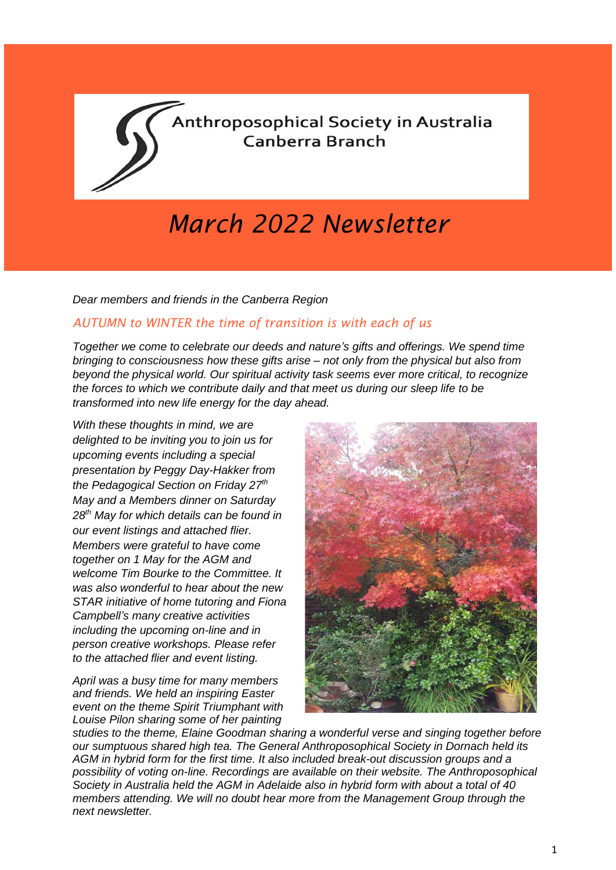

# *March 2022 Newsletter*

*Dear members and friends in the Canberra Region*

#### *AUTUMN to WINTER the time of transition is with each of us*

*Together we come to celebrate our deeds and nature's gifts and offerings. We spend time bringing to consciousness how these gifts arise – not only from the physical but also from beyond the physical world. Our spiritual activity task seems ever more critical, to recognize the forces to which we contribute daily and that meet us during our sleep life to be transformed into new life energy for the day ahead.*

*With these thoughts in mind, we are delighted to be inviting you to join us for upcoming events including a special presentation by Peggy Day-Hakker from the Pedagogical Section on Friday 27th May and a Members dinner on Saturday 28th May for which details can be found in our event listings and attached flier. Members were grateful to have come together on 1 May for the AGM and welcome Tim Bourke to the Committee. It was also wonderful to hear about the new STAR initiative of home tutoring and Fiona Campbell's many creative activities including the upcoming on-line and in person creative workshops. Please refer to the attached flier and event listing.*

*April was a busy time for many members and friends. We held an inspiring Easter event on the theme Spirit Triumphant with Louise Pilon sharing some of her painting*



*studies to the theme, Elaine Goodman sharing a wonderful verse and singing together before our sumptuous shared high tea. The General Anthroposophical Society in Dornach held its AGM in hybrid form for the first time. It also included break-out discussion groups and a possibility of voting on-line. Recordings are available on their website. The Anthroposophical Society in Australia held the AGM in Adelaide also in hybrid form with about a total of 40 members attending. We will no doubt hear more from the Management Group through the next newsletter.*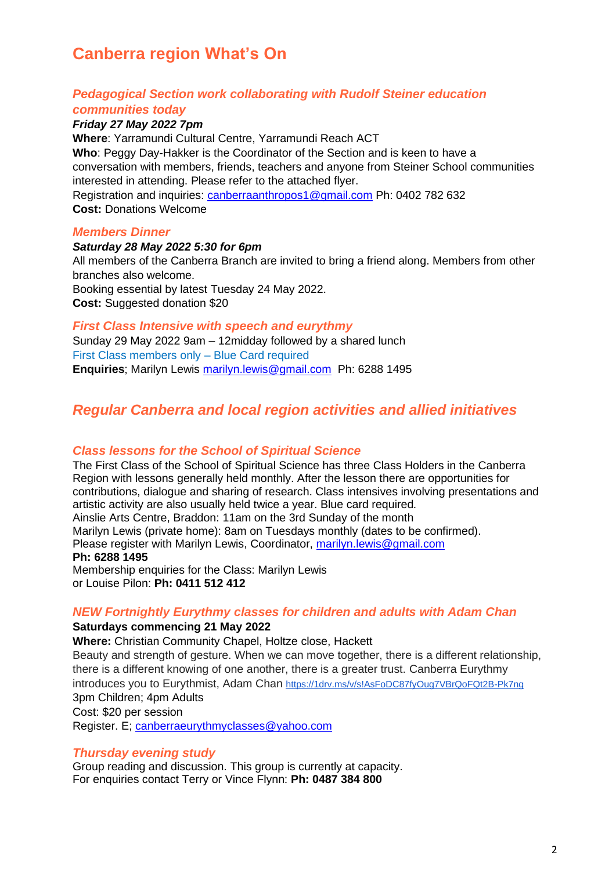# **Canberra region What's On**

#### *Pedagogical Section work collaborating with Rudolf Steiner education communities today*

#### *Friday 27 May 2022 7pm*

**Where**: Yarramundi Cultural Centre, Yarramundi Reach ACT **Who**: Peggy Day-Hakker is the Coordinator of the Section and is keen to have a conversation with members, friends, teachers and anyone from Steiner School communities interested in attending. Please refer to the attached flyer. Registration and inquiries: [canberraanthropos1@gmail.com](mailto:canberraanthropos1@gmail.com) Ph: 0402 782 632 **Cost:** Donations Welcome

#### *Members Dinner*

#### *Saturday 28 May 2022 5:30 for 6pm*

All members of the Canberra Branch are invited to bring a friend along. Members from other branches also welcome. Booking essential by latest Tuesday 24 May 2022. **Cost:** Suggested donation \$20

#### *First Class Intensive with speech and eurythmy*

Sunday 29 May 2022 9am – 12midday followed by a shared lunch First Class members only – Blue Card required **Enquiries**; Marilyn Lewis [marilyn.lewis@gmail.com](mailto:marilyn.lewis@gmail.com) Ph: 6288 1495

### *Regular Canberra and local region activities and allied initiatives*

#### *Class lessons for the School of Spiritual Science*

The First Class of the School of Spiritual Science has three Class Holders in the Canberra Region with lessons generally held monthly. After the lesson there are opportunities for contributions, dialogue and sharing of research. Class intensives involving presentations and artistic activity are also usually held twice a year. Blue card required*.* Ainslie Arts Centre, Braddon: 11am on the 3rd Sunday of the month Marilyn Lewis (private home): 8am on Tuesdays monthly (dates to be confirmed). Please register with Marilyn Lewis, Coordinator, [marilyn.lewis@gmail.com](mailto:marilyn.lewis@gmail.com) **Ph: 6288 1495** Membership enquiries for the Class: Marilyn Lewis or Louise Pilon: **Ph: 0411 512 412**

#### *NEW Fortnightly Eurythmy classes for children and adults with Adam Chan*

#### **Saturdays commencing 21 May 2022**

**Where:** Christian Community Chapel, Holtze close, Hackett Beauty and strength of gesture. When we can move together, there is a different relationship, there is a different knowing of one another, there is a greater trust. Canberra Eurythmy introduces you to Eurythmist, Adam Chan <https://1drv.ms/v/s!AsFoDC87fyOug7VBrQoFQt2B-Pk7ng> 3pm Children; 4pm Adults Cost: \$20 per session Register. E; [canberraeurythmyclasses@yahoo.com](mailto:canberraeurythmyclasses@yahoo.com)

#### *Thursday evening study*

Group reading and discussion. This group is currently at capacity. For enquiries contact Terry or Vince Flynn: **Ph: 0487 384 800**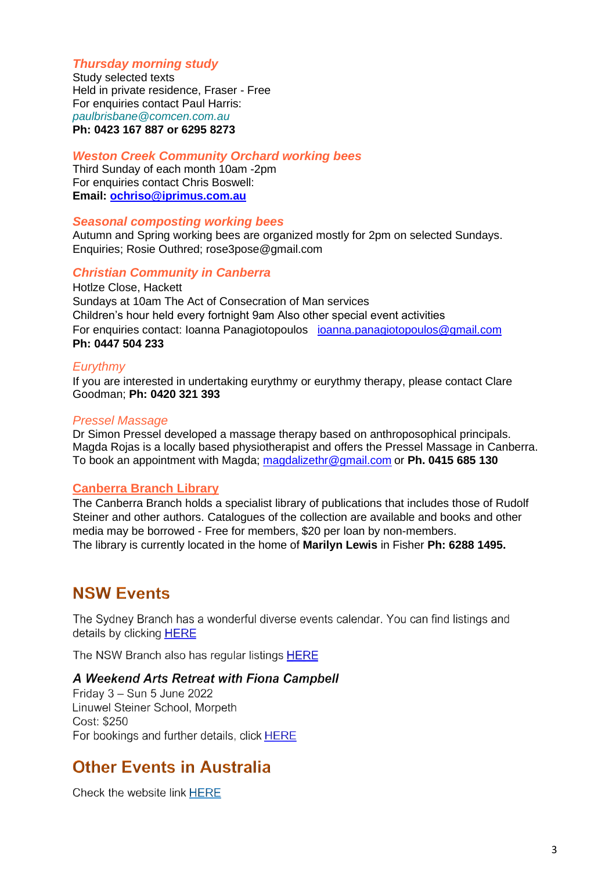#### *Thursday morning study*

Study selected texts Held in private residence, Fraser - Free For enquiries contact Paul Harris: *[paulbrisbane@comcen.com.au](mailto:paulbrisbane@comcen.com.au)* **Ph: 0423 167 887 or 6295 8273**

#### *Weston Creek Community Orchard working bees*

Third Sunday of each month 10am -2pm For enquiries contact Chris Boswell: **Email: [ochriso@iprimus.com.au](mailto:ochriso@iprimus.com.au)**

#### *Seasonal composting working bees*

Autumn and Spring working bees are organized mostly for 2pm on selected Sundays. Enquiries; Rosie Outhred; rose3pose@gmail.com

#### *Christian Community in Canberra*

Hotlze Close, Hackett Sundays at 10am The Act of Consecration of Man services Children's hour held every fortnight 9am Also other special event activities For enquiries contact: Ioanna Panagiotopoulos [ioanna.panagiotopoulos@gmail.com](mailto:ioanna.panagiotopoulos@gmail.com) **Ph: 0447 504 233**

#### *Eurythmy*

If you are interested in undertaking eurythmy or eurythmy therapy, please contact Clare Goodman; **Ph: 0420 321 393**

#### *Pressel Massage*

Dr Simon Pressel developed a massage therapy based on anthroposophical principals. Magda Rojas is a locally based physiotherapist and offers the Pressel Massage in Canberra. To book an appointment with Magda; [magdalizethr@gmail.com](mailto:magdalizethr@gmail.com) or **Ph. 0415 685 130**

#### **Canberra Branch Library**

The Canberra Branch holds a specialist library of publications that includes those of Rudolf Steiner and other authors. Catalogues of the collection are available and books and other media may be borrowed - Free for members, \$20 per loan by non-members. The library is currently located in the home of **Marilyn Lewis** in Fisher **Ph: 6288 1495.**

## **NSW Events**

The Sydney Branch has a wonderful diverse events calendar. You can find listings and details by clicking HERE

The NSW Branch also has regular listings HERE

#### A Weekend Arts Retreat with Fiona Campbell

Friday  $3 -$  Sun 5 June 2022 Linuwel Steiner School, Morpeth Cost: \$250 For bookings and further details, click HERE

### **Other Events in Australia**

Check the website link HERE